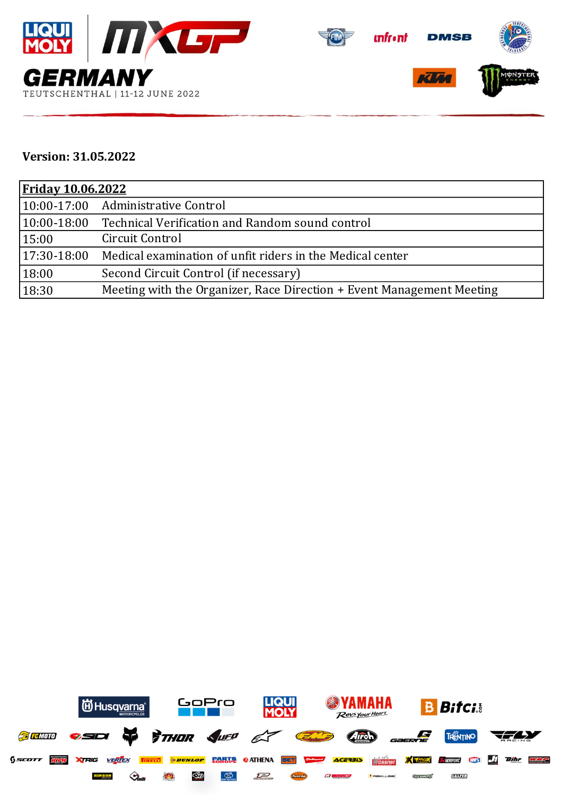

## **Version: 31.05.2022**

| <b>Friday 10.06.2022</b> |                                                                       |  |  |  |
|--------------------------|-----------------------------------------------------------------------|--|--|--|
|                          | 10:00-17:00 Administrative Control                                    |  |  |  |
| $ 10:00-18:00$           | Technical Verification and Random sound control                       |  |  |  |
| 15:00                    | Circuit Control                                                       |  |  |  |
| $17:30-18:00$            | Medical examination of unfit riders in the Medical center             |  |  |  |
| 18:00                    | Second Circuit Control (if necessary)                                 |  |  |  |
| 18:30                    | Meeting with the Organizer, Race Direction + Event Management Meeting |  |  |  |

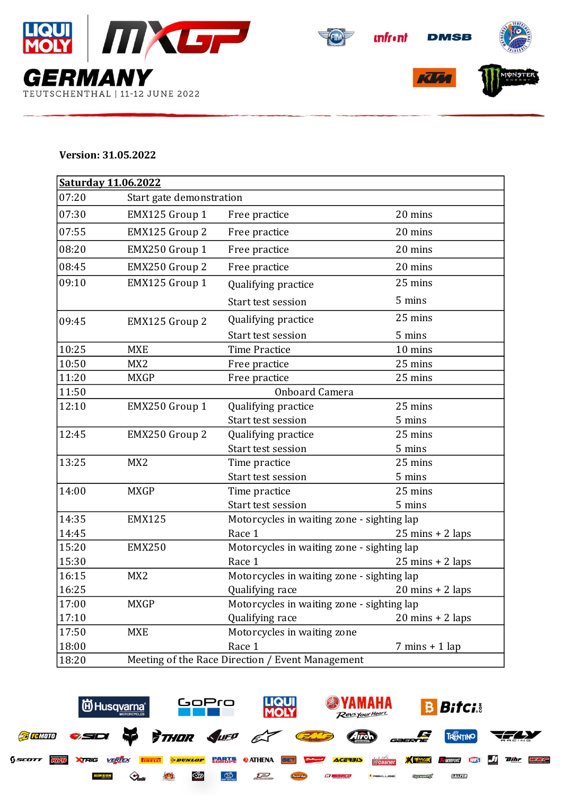



## **Version: 31.05.2022**

| Saturday 11.06.2022 |                                                  |                                            |                                    |  |  |  |
|---------------------|--------------------------------------------------|--------------------------------------------|------------------------------------|--|--|--|
| 07:20               |                                                  | Start gate demonstration                   |                                    |  |  |  |
| 07:30               | EMX125 Group 1                                   | Free practice                              | 20 mins                            |  |  |  |
| 07:55               | EMX125 Group 2                                   | Free practice                              | 20 mins                            |  |  |  |
| 08:20               | EMX250 Group 1                                   | Free practice                              | 20 mins                            |  |  |  |
| 08:45               | EMX250 Group 2                                   | Free practice                              | 20 mins                            |  |  |  |
| 09:10               | EMX125 Group 1                                   | Qualifying practice                        | 25 mins                            |  |  |  |
|                     |                                                  | Start test session                         | 5 mins                             |  |  |  |
| 09:45               | EMX125 Group 2                                   | Qualifying practice                        | 25 mins                            |  |  |  |
|                     |                                                  | Start test session                         | 5 mins                             |  |  |  |
| 10:25               | <b>MXE</b>                                       | <b>Time Practice</b>                       | 10 mins                            |  |  |  |
| 10:50               | MX <sub>2</sub>                                  | Free practice                              | 25 mins                            |  |  |  |
| 11:20               | <b>MXGP</b>                                      | Free practice                              | 25 mins                            |  |  |  |
| 11:50               |                                                  | Onboard Camera                             |                                    |  |  |  |
| 12:10               | EMX250 Group 1                                   | Qualifying practice                        | 25 mins                            |  |  |  |
|                     |                                                  | Start test session                         | 5 mins                             |  |  |  |
| 12:45               | EMX250 Group 2                                   | Qualifying practice                        | 25 mins                            |  |  |  |
|                     |                                                  | Start test session                         | 5 mins                             |  |  |  |
| 13:25               | MX <sub>2</sub>                                  | Time practice                              | 25 mins                            |  |  |  |
|                     |                                                  | Start test session                         | 5 mins                             |  |  |  |
| 14:00               | <b>MXGP</b>                                      | Time practice                              | 25 mins                            |  |  |  |
|                     |                                                  | Start test session                         | 5 mins                             |  |  |  |
| 14:35               | <b>EMX125</b>                                    | Motorcycles in waiting zone - sighting lap |                                    |  |  |  |
| 14:45               |                                                  | Race 1                                     | $25 \text{ mins} + 2 \text{ laps}$ |  |  |  |
| 15:20               | <b>EMX250</b>                                    | Motorcycles in waiting zone - sighting lap |                                    |  |  |  |
| 15:30               |                                                  | Race 1                                     | $25 \text{ mins} + 2 \text{ laps}$ |  |  |  |
| 16:15               | MX <sub>2</sub>                                  | Motorcycles in waiting zone - sighting lap |                                    |  |  |  |
| 16:25               |                                                  | Qualifying race                            | $20 \text{ mins} + 2 \text{ laps}$ |  |  |  |
| 17:00               | <b>MXGP</b>                                      | Motorcycles in waiting zone - sighting lap |                                    |  |  |  |
| 17:10               |                                                  | Qualifying race                            | $20 \text{ mins} + 2 \text{ laps}$ |  |  |  |
| 17:50               | <b>MXE</b>                                       | Motorcycles in waiting zone                |                                    |  |  |  |
| 18:00               |                                                  | Race 1                                     | $7 \text{ mins} + 1 \text{ lap}$   |  |  |  |
| 18:20               | Meeting of the Race Direction / Event Management |                                            |                                    |  |  |  |